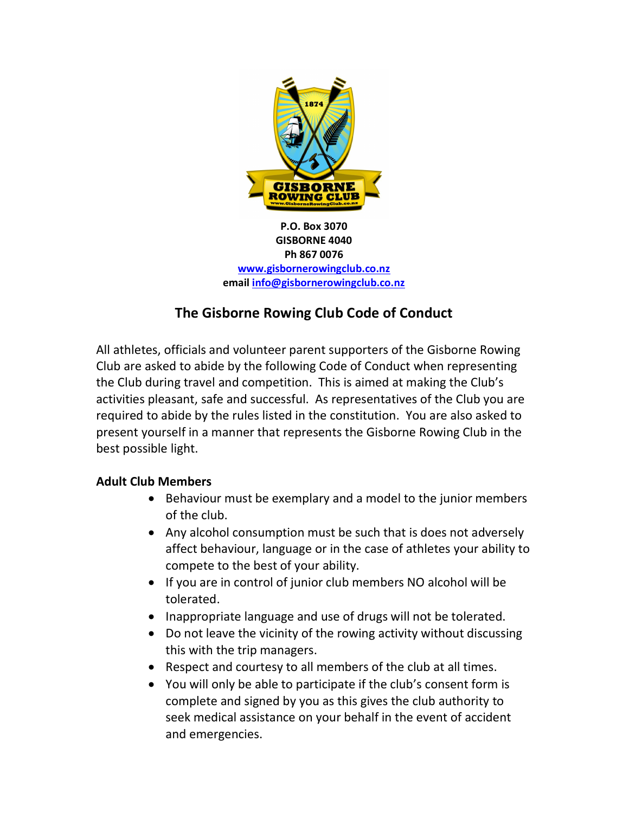

P.O. Box 3070 GISBORNE 4040 Ph 867 0076 www.gisbornerowingclub.co.nz email info@gisbornerowingclub.co.nz

## The Gisborne Rowing Club Code of Conduct

All athletes, officials and volunteer parent supporters of the Gisborne Rowing Club are asked to abide by the following Code of Conduct when representing the Club during travel and competition. This is aimed at making the Club's activities pleasant, safe and successful. As representatives of the Club you are required to abide by the rules listed in the constitution. You are also asked to present yourself in a manner that represents the Gisborne Rowing Club in the best possible light.

## Adult Club Members

- Behaviour must be exemplary and a model to the junior members of the club.
- Any alcohol consumption must be such that is does not adversely affect behaviour, language or in the case of athletes your ability to compete to the best of your ability.
- If you are in control of junior club members NO alcohol will be tolerated.
- Inappropriate language and use of drugs will not be tolerated.
- Do not leave the vicinity of the rowing activity without discussing this with the trip managers.
- Respect and courtesy to all members of the club at all times.
- You will only be able to participate if the club's consent form is complete and signed by you as this gives the club authority to seek medical assistance on your behalf in the event of accident and emergencies.